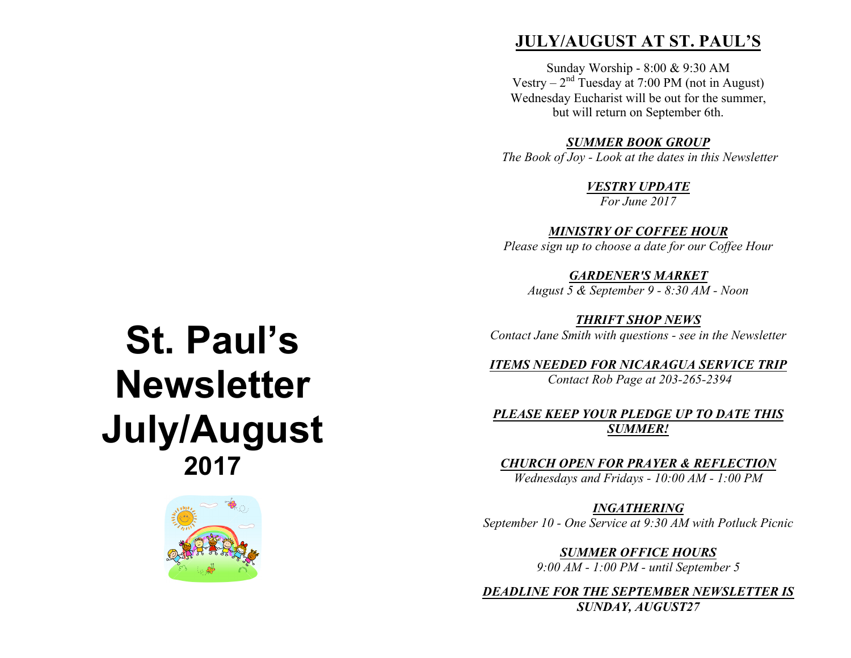## **JULY/AUGUST AT ST. PAUL'S**

Sunday Worship - 8:00 & 9:30 AM Vestry –  $2<sup>nd</sup>$  Tuesday at 7:00 PM (not in August) Wednesday Eucharist will be out for the summer, but will return on September 6th.

#### *SUMMER BOOK GROUP*

*The Book of Joy - Look at the dates in this Newsletter*

#### *VESTRY UPDATE*

*For June 2017*

*MINISTRY OF COFFEE HOUR Please sign up to choose a date for our Coffee Hour*

*GARDENER'S MARKET*

*August 5 & September 9 - 8:30 AM - Noon*

*THRIFT SHOP NEWS Contact Jane Smith with questions - see in the Newsletter*

*ITEMS NEEDED FOR NICARAGUA SERVICE TRIP Contact Rob Page at 203-265-2394*

#### *PLEASE KEEP YOUR PLEDGE UP TO DATE THIS SUMMER!*

*CHURCH OPEN FOR PRAYER & REFLECTION*

*Wednesdays and Fridays - 10:00 AM - 1:00 PM*

*INGATHERING September 10 - One Service at 9:30 AM with Potluck Picnic*

> *SUMMER OFFICE HOURS 9:00 AM - 1:00 PM - until September 5*

*DEADLINE FOR THE SEPTEMBER NEWSLETTER IS SUNDAY, AUGUST27*

# **St. Paul's Newsletter July/August 2017**

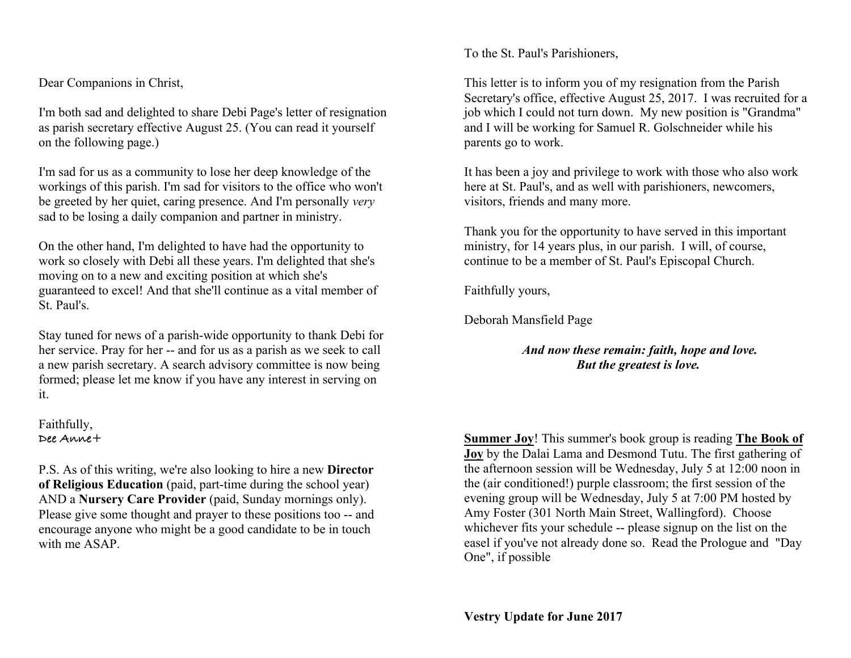Dear Companions in Christ,

I'm both sad and delighted to share Debi Page's letter of resignation as parish secretary effective August 25. (You can read it yourself on the following page.)

I'm sad for us as a community to lose her deep knowledge of the workings of this parish. I'm sad for visitors to the office who won't be greeted by her quiet, caring presence. And I'm personally *very* sad to be losing a daily companion and partner in ministry.

On the other hand, I'm delighted to have had the opportunity to work so closely with Debi all these years. I'm delighted that she's moving on to a new and exciting position at which she's guaranteed to excel! And that she'll continue as a vital member of St. Paul's.

Stay tuned for news of a parish-wide opportunity to thank Debi for her service. Pray for her -- and for us as a parish as we seek to call a new parish secretary. A search advisory committee is now being formed; please let me know if you have any interest in serving on it.

#### Faithfully, **Dee Anne+**

P.S. As of this writing, we're also looking to hire a new **Director of Religious Education** (paid, part-time during the school year) AND a **Nursery Care Provider** (paid, Sunday mornings only). Please give some thought and prayer to these positions too -- and encourage anyone who might be a good candidate to be in touch with me ASAP.

To the St. Paul's Parishioners,

This letter is to inform you of my resignation from the Parish Secretary's office, effective August 25, 2017. I was recruited for a job which I could not turn down. My new position is "Grandma" and I will be working for Samuel R. Golschneider while his parents go to work.

It has been a joy and privilege to work with those who also work here at St. Paul's, and as well with parishioners, newcomers, visitors, friends and many more.

Thank you for the opportunity to have served in this important ministry, for 14 years plus, in our parish. I will, of course, continue to be a member of St. Paul's Episcopal Church.

Faithfully yours,

Deborah Mansfield Page

*And now these remain: faith, hope and love. But the greatest is love.* 

**Summer Joy**! This summer's book group is reading **The Book of Joy** by the Dalai Lama and Desmond Tutu. The first gathering of the afternoon session will be Wednesday, July 5 at 12:00 noon in the (air conditioned!) purple classroom; the first session of the evening group will be Wednesday, July 5 at 7:00 PM hosted by Amy Foster (301 North Main Street, Wallingford). Choose whichever fits your schedule -- please signup on the list on the easel if you've not already done so. Read the Prologue and "Day One", if possible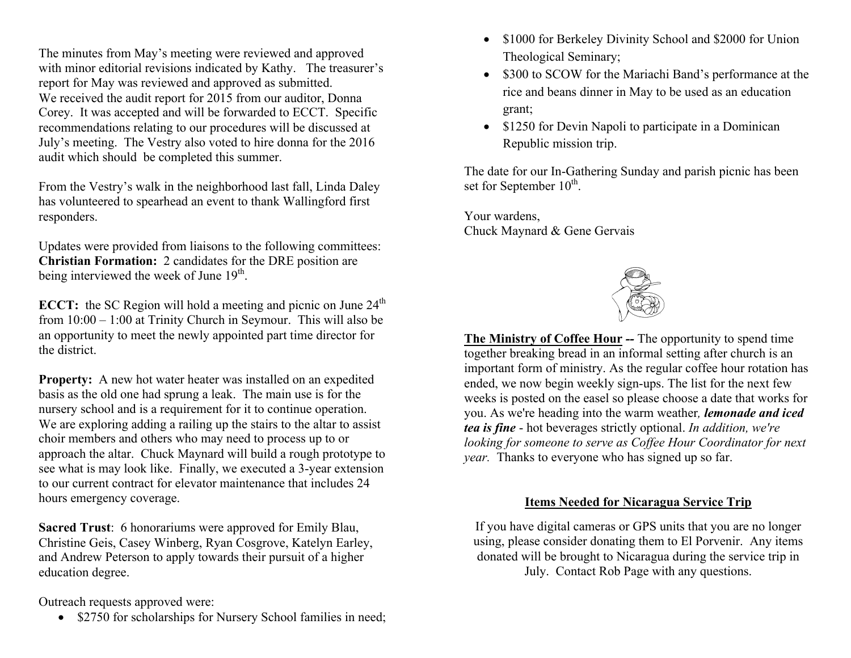The minutes from May's meeting were reviewed and approved with minor editorial revisions indicated by Kathy. The treasurer's report for May was reviewed and approved as submitted. We received the audit report for 2015 from our auditor, Donna Corey. It was accepted and will be forwarded to ECCT. Specific recommendations relating to our procedures will be discussed at July's meeting. The Vestry also voted to hire donna for the 2016 audit which should be completed this summer.

From the Vestry's walk in the neighborhood last fall, Linda Daley has volunteered to spearhead an event to thank Wallingford first responders.

Updates were provided from liaisons to the following committees: **Christian Formation:** 2 candidates for the DRE position are being interviewed the week of June  $19<sup>th</sup>$ .

**ECCT:** the SC Region will hold a meeting and picnic on June  $24<sup>th</sup>$ from 10:00 – 1:00 at Trinity Church in Seymour. This will also be an opportunity to meet the newly appointed part time director for the district.

**Property:** A new hot water heater was installed on an expedited basis as the old one had sprung a leak. The main use is for the nursery school and is a requirement for it to continue operation. We are exploring adding a railing up the stairs to the altar to assist choir members and others who may need to process up to or approach the altar. Chuck Maynard will build a rough prototype to see what is may look like. Finally, we executed a 3-year extension to our current contract for elevator maintenance that includes 24 hours emergency coverage.

**Sacred Trust**: 6 honorariums were approved for Emily Blau, Christine Geis, Casey Winberg, Ryan Cosgrove, Katelyn Earley, and Andrew Peterson to apply towards their pursuit of a higher education degree.

Outreach requests approved were:

• \$2750 for scholarships for Nursery School families in need;

- \$1000 for Berkeley Divinity School and \$2000 for Union Theological Seminary;
- \$300 to SCOW for the Mariachi Band's performance at the rice and beans dinner in May to be used as an education grant;
- \$1250 for Devin Napoli to participate in a Dominican Republic mission trip.

The date for our In-Gathering Sunday and parish picnic has been set for September  $10^{th}$ .

Your wardens, Chuck Maynard & Gene Gervais



**The Ministry of Coffee Hour** *--* The opportunity to spend time together breaking bread in an informal setting after church is an important form of ministry. As the regular coffee hour rotation has ended, we now begin weekly sign-ups. The list for the next few weeks is posted on the easel so please choose a date that works for you. As we're heading into the warm weather*, lemonade and iced tea is fine* - hot beverages strictly optional. *In addition, we're looking for someone to serve as Coffee Hour Coordinator for next year.* Thanks to everyone who has signed up so far.

#### **Items Needed for Nicaragua Service Trip**

If you have digital cameras or GPS units that you are no longer using, please consider donating them to El Porvenir. Any items donated will be brought to Nicaragua during the service trip in July. Contact Rob Page with any questions.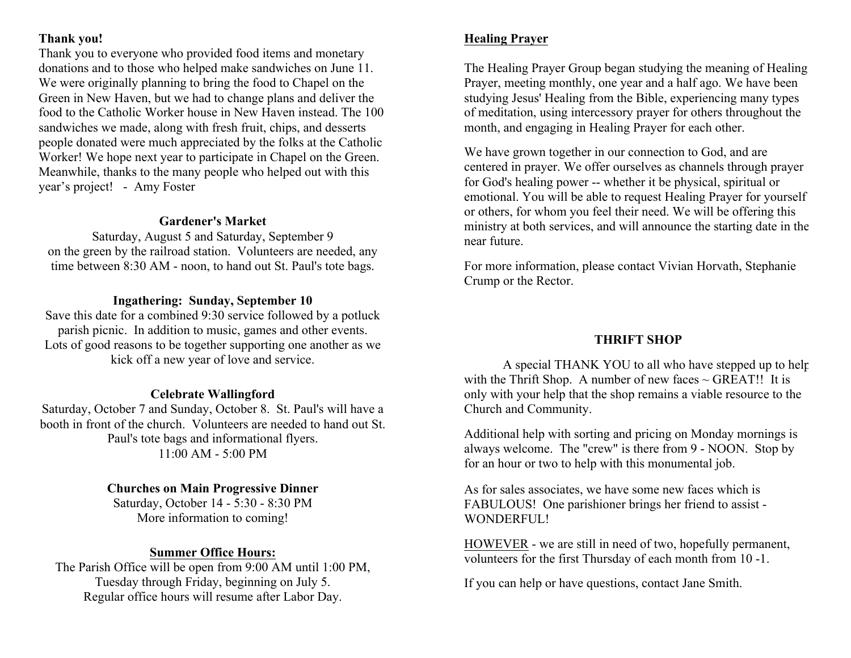## **Thank you!**

Thank you to everyone who provided food items and monetary donations and to those who helped make sandwiches on June 11. We were originally planning to bring the food to Chapel on the Green in New Haven, but we had to change plans and deliver the food to the Catholic Worker house in New Haven instead. The 100 sandwiches we made, along with fresh fruit, chips, and desserts people donated were much appreciated by the folks at the Catholic Worker! We hope next year to participate in Chapel on the Green. Meanwhile, thanks to the many people who helped out with this year's project! - Amy Foster

#### **Gardener's Market**

Saturday, August 5 and Saturday, September 9 on the green by the railroad station. Volunteers are needed, any time between 8:30 AM - noon, to hand out St. Paul's tote bags.

#### **Ingathering: Sunday, September 10**

Save this date for a combined 9:30 service followed by a potluck parish picnic. In addition to music, games and other events. Lots of good reasons to be together supporting one another as we kick off a new year of love and service.

#### **Celebrate Wallingford**

Saturday, October 7 and Sunday, October 8. St. Paul's will have a booth in front of the church. Volunteers are needed to hand out St. Paul's tote bags and informational flyers.  $11:00$  AM - 5:00 PM

#### **Churches on Main Progressive Dinner**

Saturday, October 14 - 5:30 - 8:30 PM More information to coming!

#### **Summer Office Hours:**

The Parish Office will be open from 9:00 AM until 1:00 PM, Tuesday through Friday, beginning on July 5. Regular office hours will resume after Labor Day.

## **Healing Prayer**

The Healing Prayer Group began studying the meaning of Healing Prayer, meeting monthly, one year and a half ago. We have been studying Jesus' Healing from the Bible, experiencing many types of meditation, using intercessory prayer for others throughout the month, and engaging in Healing Prayer for each other.

We have grown together in our connection to God, and are centered in prayer. We offer ourselves as channels through prayer for God's healing power -- whether it be physical, spiritual or emotional. You will be able to request Healing Prayer for yourself or others, for whom you feel their need. We will be offering this ministry at both services, and will announce the starting date in the near future.

For more information, please contact Vivian Horvath, Stephanie Crump or the Rector.

## **THRIFT SHOP**

A special THANK YOU to all who have stepped up to help with the Thrift Shop. A number of new faces  $\sim$  GREAT!! It is only with your help that the shop remains a viable resource to the Church and Community.

Additional help with sorting and pricing on Monday mornings is always welcome. The "crew" is there from 9 - NOON. Stop by for an hour or two to help with this monumental job.

As for sales associates, we have some new faces which is FABULOUS! One parishioner brings her friend to assist - WONDERFUL!

HOWEVER - we are still in need of two, hopefully permanent, volunteers for the first Thursday of each month from 10 -1.

If you can help or have questions, contact Jane Smith.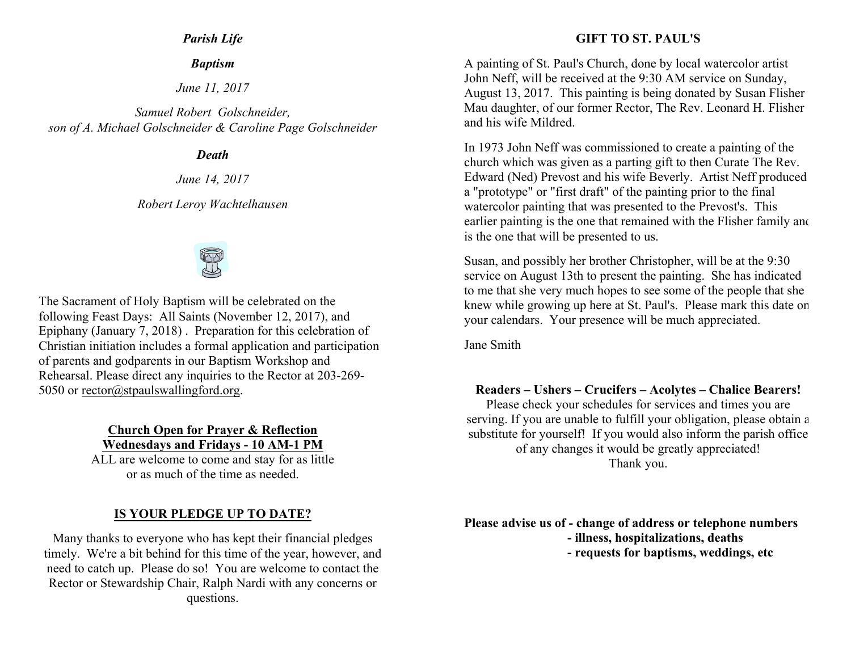#### *Parish Life*

#### *Baptism*

*June 11, 2017*

*Samuel Robert Golschneider, son of A. Michael Golschneider & Caroline Page Golschneider*

#### *Death*

*June 14, 2017*

#### *Robert Leroy Wachtelhausen*



The Sacrament of Holy Baptism will be celebrated on the following Feast Days: All Saints (November 12, 2017), and Epiphany (January 7, 2018) . Preparation for this celebration of Christian initiation includes a formal application and participation of parents and godparents in our Baptism Workshop and Rehearsal. Please direct any inquiries to the Rector at 203-269- 5050 or rector@stpaulswallingford.org.

#### **Church Open for Prayer & Reflection Wednesdays and Fridays - 10 AM-1 PM**

ALL are welcome to come and stay for as little or as much of the time as needed.

## **IS YOUR PLEDGE UP TO DATE?**

Many thanks to everyone who has kept their financial pledges timely. We're a bit behind for this time of the year, however, and need to catch up. Please do so! You are welcome to contact the Rector or Stewardship Chair, Ralph Nardi with any concerns or questions.

#### **GIFT TO ST. PAUL'S**

A painting of St. Paul's Church, done by local watercolor artist John Neff, will be received at the 9:30 AM service on Sunday, August 13, 2017. This painting is being donated by Susan Flisher Mau daughter, of our former Rector, The Rev. Leonard H. Flisher and his wife Mildred.

In 1973 John Neff was commissioned to create a painting of the church which was given as a parting gift to then Curate The Rev. Edward (Ned) Prevost and his wife Beverly. Artist Neff produced a "prototype" or "first draft" of the painting prior to the final watercolor painting that was presented to the Prevost's. This earlier painting is the one that remained with the Flisher family and is the one that will be presented to us.

Susan, and possibly her brother Christopher, will be at the 9:30 service on August 13th to present the painting. She has indicated to me that she very much hopes to see some of the people that she knew while growing up here at St. Paul's. Please mark this date on your calendars. Your presence will be much appreciated.

Jane Smith

#### **Readers – Ushers – Crucifers – Acolytes – Chalice Bearers!**

Please check your schedules for services and times you are serving. If you are unable to fulfill your obligation, please obtain a substitute for yourself! If you would also inform the parish office of any changes it would be greatly appreciated! Thank you.

**Please advise us of - change of address or telephone numbers - illness, hospitalizations, deaths - requests for baptisms, weddings, etc**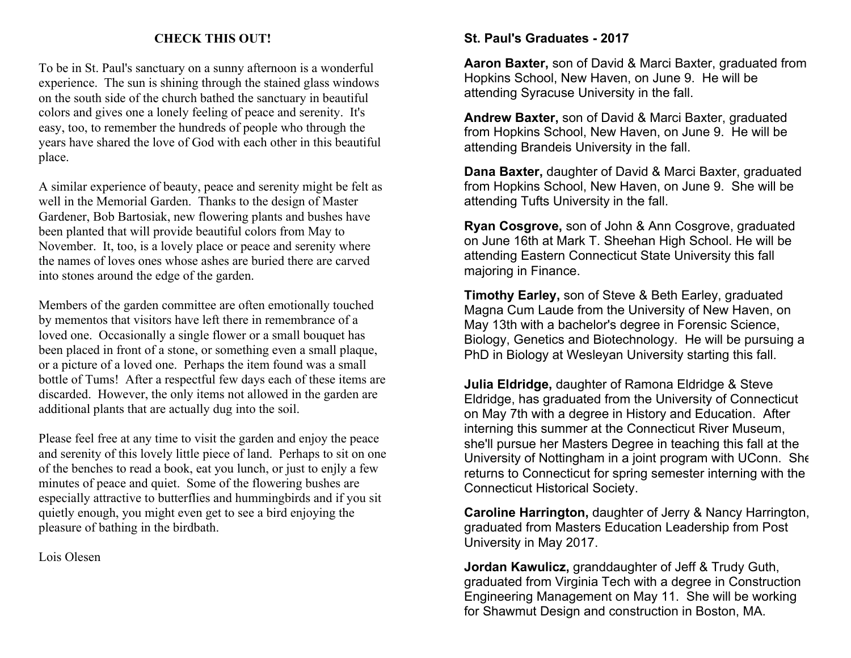## **CHECK THIS OUT!**

To be in St. Paul's sanctuary on a sunny afternoon is a wonderful experience. The sun is shining through the stained glass windows on the south side of the church bathed the sanctuary in beautiful colors and gives one a lonely feeling of peace and serenity. It's easy, too, to remember the hundreds of people who through the years have shared the love of God with each other in this beautiful place.

A similar experience of beauty, peace and serenity might be felt as well in the Memorial Garden. Thanks to the design of Master Gardener, Bob Bartosiak, new flowering plants and bushes have been planted that will provide beautiful colors from May to November. It, too, is a lovely place or peace and serenity where the names of loves ones whose ashes are buried there are carved into stones around the edge of the garden.

Members of the garden committee are often emotionally touched by mementos that visitors have left there in remembrance of a loved one. Occasionally a single flower or a small bouquet has been placed in front of a stone, or something even a small plaque, or a picture of a loved one. Perhaps the item found was a small bottle of Tums! After a respectful few days each of these items are discarded. However, the only items not allowed in the garden are additional plants that are actually dug into the soil.

Please feel free at any time to visit the garden and enjoy the peace and serenity of this lovely little piece of land. Perhaps to sit on one of the benches to read a book, eat you lunch, or just to enjly a few minutes of peace and quiet. Some of the flowering bushes are especially attractive to butterflies and hummingbirds and if you sit quietly enough, you might even get to see a bird enjoying the pleasure of bathing in the birdbath.

Lois Olesen

## **St. Paul's Graduates - 2017**

**Aaron Baxter,** son of David & Marci Baxter, graduated from Hopkins School, New Haven, on June 9. He will be attending Syracuse University in the fall.

**Andrew Baxter,** son of David & Marci Baxter, graduated from Hopkins School, New Haven, on June 9. He will be attending Brandeis University in the fall.

**Dana Baxter,** daughter of David & Marci Baxter, graduated from Hopkins School, New Haven, on June 9. She will be attending Tufts University in the fall.

**Ryan Cosgrove,** son of John & Ann Cosgrove, graduated on June 16th at Mark T. Sheehan High School. He will be attending Eastern Connecticut State University this fall majoring in Finance.

**Timothy Earley,** son of Steve & Beth Earley, graduated Magna Cum Laude from the University of New Haven, on May 13th with a bachelor's degree in Forensic Science, Biology, Genetics and Biotechnology. He will be pursuing a PhD in Biology at Wesleyan University starting this fall.

**Julia Eldridge,** daughter of Ramona Eldridge & Steve Eldridge, has graduated from the University of Connecticut on May 7th with a degree in History and Education. After interning this summer at the Connecticut River Museum, she'll pursue her Masters Degree in teaching this fall at the University of Nottingham in a joint program with UConn. She returns to Connecticut for spring semester interning with the Connecticut Historical Society.

**Caroline Harrington,** daughter of Jerry & Nancy Harrington, graduated from Masters Education Leadership from Post University in May 2017.

**Jordan Kawulicz,** granddaughter of Jeff & Trudy Guth, graduated from Virginia Tech with a degree in Construction Engineering Management on May 11. She will be working for Shawmut Design and construction in Boston, MA.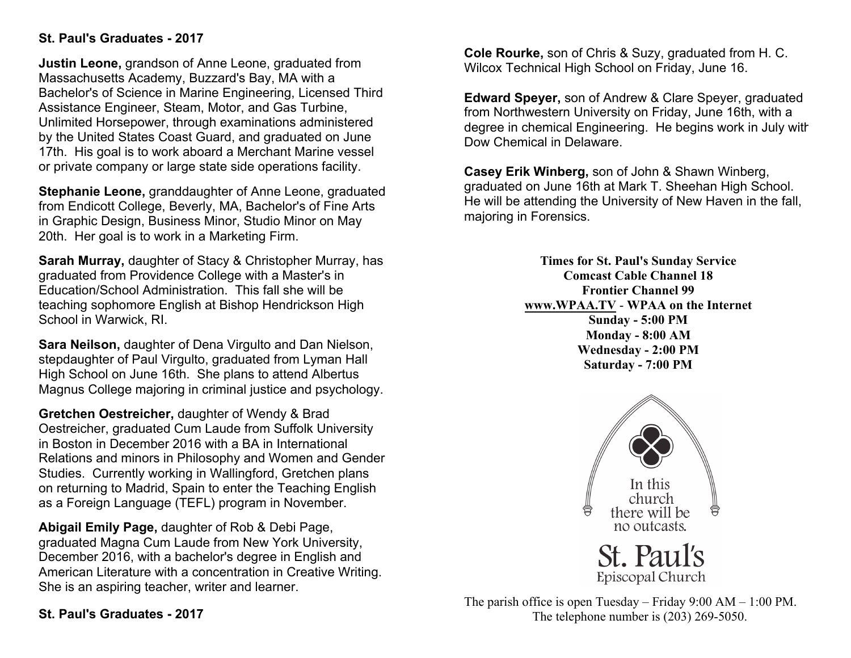## **St. Paul's Graduates - 2017**

**Justin Leone,** grandson of Anne Leone, graduated from Massachusetts Academy, Buzzard's Bay, MA with a Bachelor's of Science in Marine Engineering, Licensed Third Assistance Engineer, Steam, Motor, and Gas Turbine, Unlimited Horsepower, through examinations administered by the United States Coast Guard, and graduated on June 17th. His goal is to work aboard a Merchant Marine vessel or private company or large state side operations facility.

**Stephanie Leone,** granddaughter of Anne Leone, graduated from Endicott College, Beverly, MA, Bachelor's of Fine Arts in Graphic Design, Business Minor, Studio Minor on May 20th. Her goal is to work in a Marketing Firm.

**Sarah Murray,** daughter of Stacy & Christopher Murray, has graduated from Providence College with a Master's in Education/School Administration. This fall she will be teaching sophomore English at Bishop Hendrickson High School in Warwick, RI.

**Sara Neilson,** daughter of Dena Virgulto and Dan Nielson, stepdaughter of Paul Virgulto, graduated from Lyman Hall High School on June 16th. She plans to attend Albertus Magnus College majoring in criminal justice and psychology.

**Gretchen Oestreicher,** daughter of Wendy & Brad Oestreicher, graduated Cum Laude from Suffolk University in Boston in December 2016 with a BA in International Relations and minors in Philosophy and Women and Gender Studies. Currently working in Wallingford, Gretchen plans on returning to Madrid, Spain to enter the Teaching English as a Foreign Language (TEFL) program in November.

**Abigail Emily Page,** daughter of Rob & Debi Page, graduated Magna Cum Laude from New York University, December 2016, with a bachelor's degree in English and American Literature with a concentration in Creative Writing. She is an aspiring teacher, writer and learner.

**Cole Rourke,** son of Chris & Suzy, graduated from H. C. Wilcox Technical High School on Friday, June 16.

**Edward Speyer,** son of Andrew & Clare Speyer, graduated from Northwestern University on Friday, June 16th, with a degree in chemical Engineering. He begins work in July with Dow Chemical in Delaware.

**Casey Erik Winberg,** son of John & Shawn Winberg, graduated on June 16th at Mark T. Sheehan High School. He will be attending the University of New Haven in the fall, majoring in Forensics.

> **Times for St. Paul's Sunday Service Comcast Cable Channel 18 Frontier Channel 99 www.WPAA.TV** - **WPAA on the Internet Sunday - 5:00 PM Monday - 8:00 AM Wednesday - 2:00 PM Saturday - 7:00 PM**



Episcopal Church

**St. Paul's Graduates - 2017**

The parish office is open Tuesday – Friday 9:00 AM – 1:00 PM. The telephone number is (203) 269-5050.